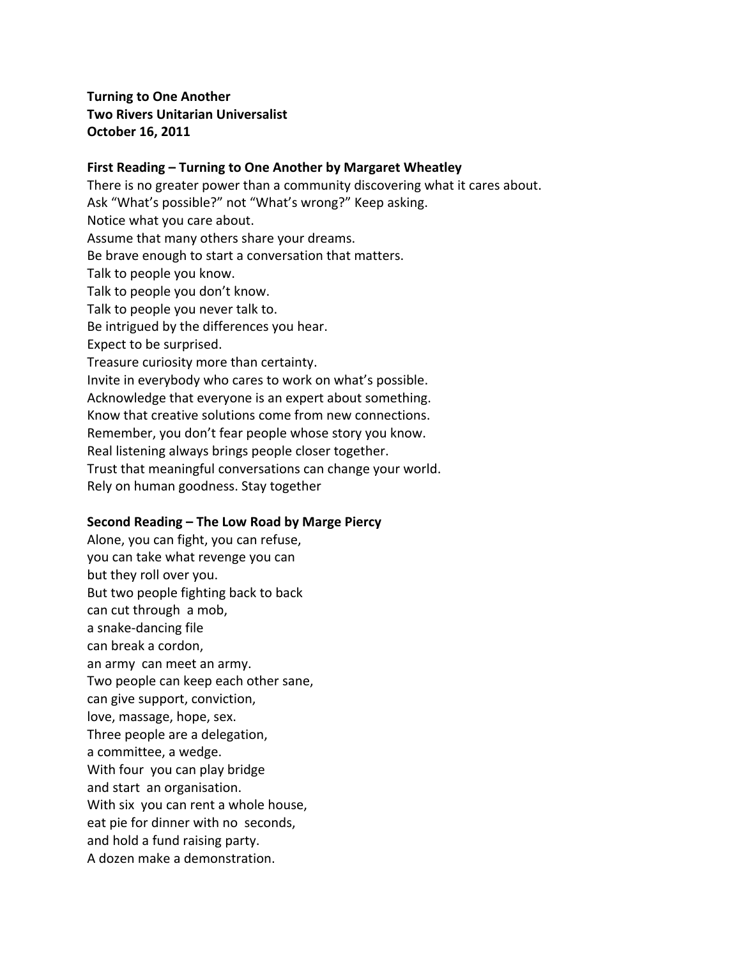# **Turning to One Another Two Rivers Unitarian Universalist October'16,'2011**

## First Reading – Turning to One Another by Margaret Wheatley

There is no greater power than a community discovering what it cares about. Ask "What's possible?" not "What's wrong?" Keep asking. Notice what you care about. Assume that many others share your dreams. Be brave enough to start a conversation that matters. Talk to people you know. Talk to people you don't know. Talk to people you never talk to. Be intrigued by the differences you hear. Expect to be surprised. Treasure curiosity more than certainty. Invite in everybody who cares to work on what's possible. Acknowledge that everyone is an expert about something. Know that creative solutions come from new connections. Remember, you don't fear people whose story you know. Real listening always brings people closer together. Trust that meaningful conversations can change your world. Rely on human goodness. Stay together

#### Second Reading – The Low Road by Marge Piercy

Alone, you can fight, you can refuse, you can take what revenge you can but they roll over you. But two people fighting back to back can cut through a mob, a snake-dancing file can break a cordon, an army can meet an army. Two people can keep each other sane, can give support, conviction, love, massage, hope, sex. Three people are a delegation, a committee, a wedge. With four you can play bridge and start an organisation. With six you can rent a whole house, eat pie for dinner with no seconds, and hold a fund raising party. A dozen make a demonstration.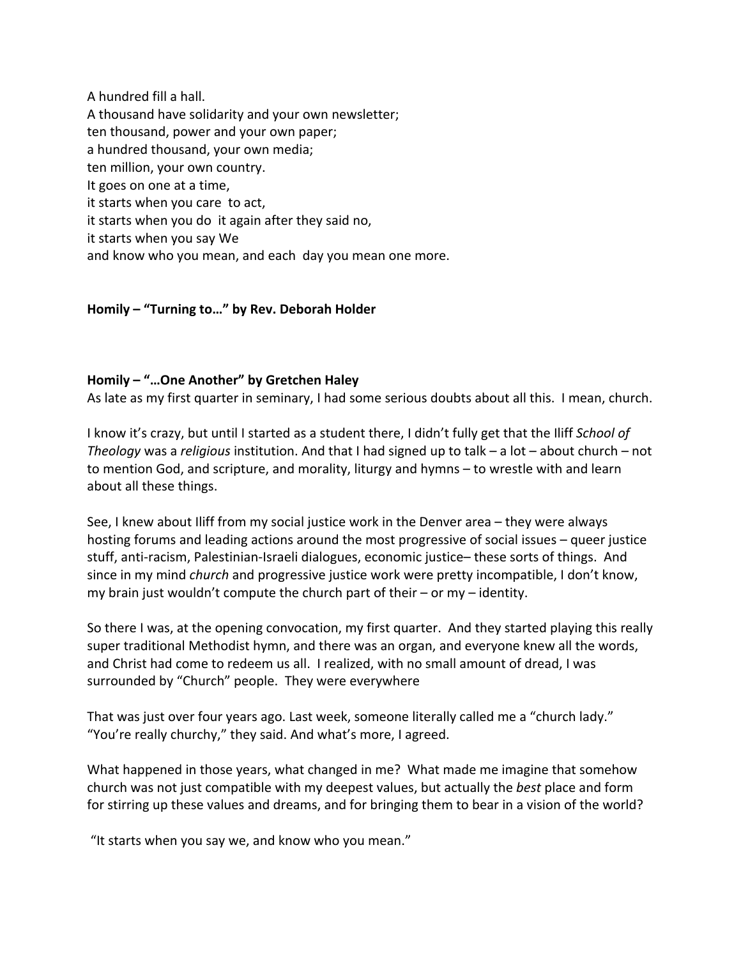A hundred fill a hall. A thousand have solidarity and your own newsletter; ten thousand, power and your own paper; a hundred thousand, your own media; ten million, your own country. It goes on one at a time, it starts when you care to act, it starts when you do it again after they said no, it starts when you say We and know who you mean, and each day you mean one more.

## Homily – "Turning to..." by Rev. Deborah Holder

### Homily – "...One Another" by Gretchen Haley

As late as my first quarter in seminary, I had some serious doubts about all this. I mean, church.

I know it's crazy, but until I started as a student there, I didn't fully get that the Iliff *School of Theology* was a *religious* institution. And that I had signed up to talk – a lot – about church – not to mention God, and scripture, and morality, liturgy and hymns – to wrestle with and learn about all these things.

See, I knew about Iliff from my social justice work in the Denver area – they were always hosting forums and leading actions around the most progressive of social issues – queer justice stuff, anti-racism, Palestinian-Israeli dialogues, economic justice– these sorts of things. And since in my mind *church* and progressive justice work were pretty incompatible, I don't know, my brain just wouldn't compute the church part of their – or my – identity.

So there I was, at the opening convocation, my first quarter. And they started playing this really super traditional Methodist hymn, and there was an organ, and everyone knew all the words, and Christ had come to redeem us all. I realized, with no small amount of dread, I was surrounded by "Church" people. They were everywhere

That was just over four years ago. Last week, someone literally called me a "church lady." "You're really churchy," they said. And what's more, I agreed.

What happened in those years, what changed in me? What made me imagine that somehow church was not just compatible with my deepest values, but actually the *best* place and form for stirring up these values and dreams, and for bringing them to bear in a vision of the world?

"It starts when you say we, and know who you mean."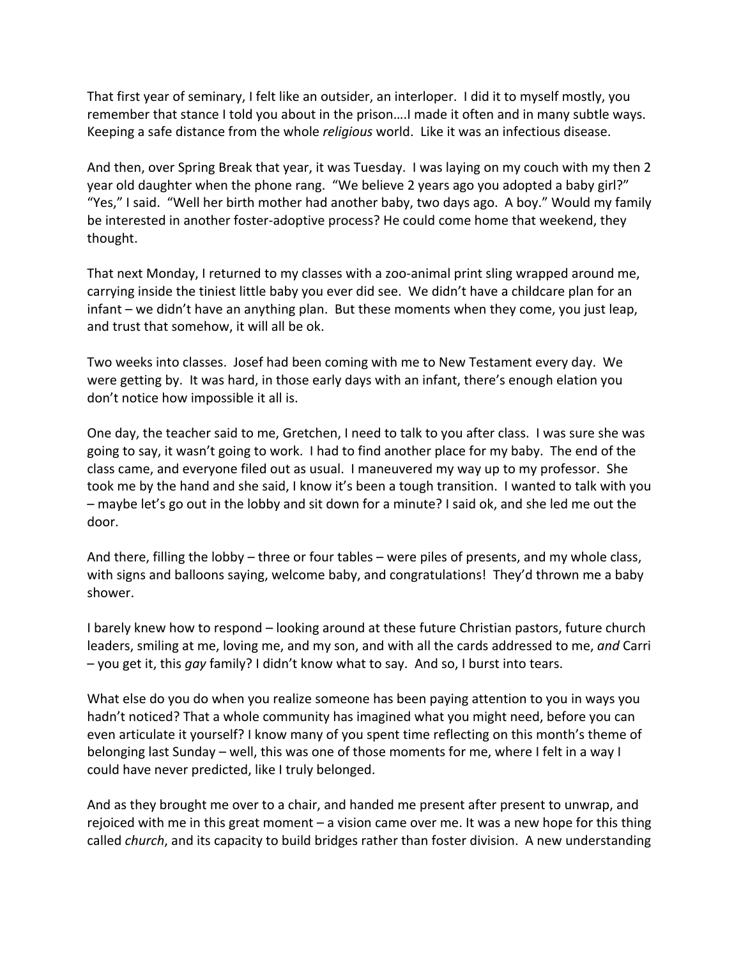That first year of seminary, I felt like an outsider, an interloper. I did it to myself mostly, you remember that stance I told you about in the prison....I made it often and in many subtle ways. Keeping a safe distance from the whole *religious* world. Like it was an infectious disease.

And then, over Spring Break that year, it was Tuesday. I was laying on my couch with my then 2 year old daughter when the phone rang. "We believe 2 years ago you adopted a baby girl?" "Yes," I said. "Well her birth mother had another baby, two days ago. A boy." Would my family be interested in another foster-adoptive process? He could come home that weekend, they thought.

That next Monday, I returned to my classes with a zoo-animal print sling wrapped around me, carrying inside the tiniest little baby you ever did see. We didn't have a childcare plan for an infant – we didn't have an anything plan. But these moments when they come, you just leap, and trust that somehow, it will all be ok.

Two weeks into classes. Josef had been coming with me to New Testament every day. We were getting by. It was hard, in those early days with an infant, there's enough elation you don't notice how impossible it all is.

One day, the teacher said to me, Gretchen, I need to talk to you after class. I was sure she was going to say, it wasn't going to work. I had to find another place for my baby. The end of the class came, and everyone filed out as usual. I maneuvered my way up to my professor. She took me by the hand and she said, I know it's been a tough transition. I wanted to talk with you  $-$  maybe let's go out in the lobby and sit down for a minute? I said ok, and she led me out the door.

And there, filling the lobby – three or four tables – were piles of presents, and my whole class, with signs and balloons saying, welcome baby, and congratulations! They'd thrown me a baby shower.

I barely knew how to respond – looking around at these future Christian pastors, future church leaders, smiling at me, loving me, and my son, and with all the cards addressed to me, *and* Carri – you get it, this *gay* family? I didn't know what to say. And so, I burst into tears.

What else do you do when you realize someone has been paying attention to you in ways you hadn't noticed? That a whole community has imagined what you might need, before you can even articulate it yourself? I know many of you spent time reflecting on this month's theme of belonging last Sunday – well, this was one of those moments for me, where I felt in a way I could have never predicted, like I truly belonged.

And as they brought me over to a chair, and handed me present after present to unwrap, and rejoiced with me in this great moment – a vision came over me. It was a new hope for this thing called *church*, and its capacity to build bridges rather than foster division. A new understanding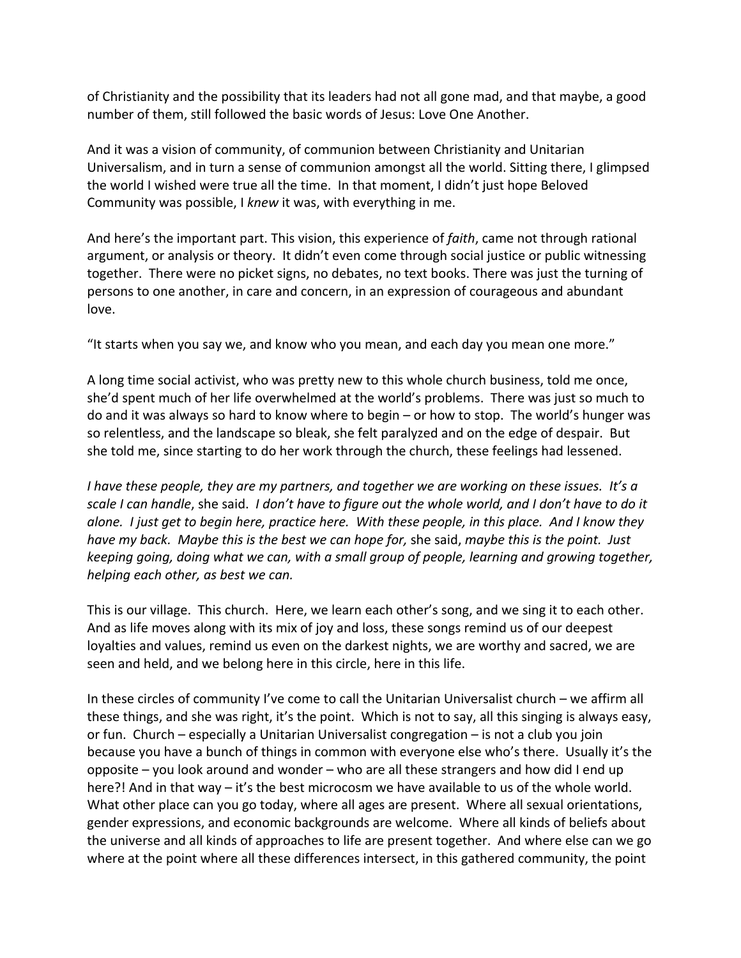of Christianity and the possibility that its leaders had not all gone mad, and that maybe, a good number of them, still followed the basic words of Jesus: Love One Another.

And it was a vision of community, of communion between Christianity and Unitarian Universalism, and in turn a sense of communion amongst all the world. Sitting there, I glimpsed the world I wished were true all the time. In that moment, I didn't just hope Beloved Community was possible, I knew it was, with everything in me.

And here's the important part. This vision, this experience of *faith*, came not through rational argument, or analysis or theory. It didn't even come through social justice or public witnessing together. There were no picket signs, no debates, no text books. There was just the turning of persons to one another, in care and concern, in an expression of courageous and abundant love.

"It starts when you say we, and know who you mean, and each day you mean one more."

A long time social activist, who was pretty new to this whole church business, told me once, she'd spent much of her life overwhelmed at the world's problems. There was just so much to do and it was always so hard to know where to begin – or how to stop. The world's hunger was so relentless, and the landscape so bleak, she felt paralyzed and on the edge of despair. But she told me, since starting to do her work through the church, these feelings had lessened.

*I* have these people, they are my partners, and together we are working on these issues. It's a *scale&I&can&handle*,%she%said.%%*I&don't&have&to&figure&out&the&whole&world,&and&I&don't&have&to&do&it& alone.&&I&just&get&to&begin&here,&practice&here.&&With&these&people,&in&this&place.&&And&I&know&they& have&my&back.&&Maybe&this&is&the&best&we&can&hope&for,*%she%said,%*maybe&this&is&the&point.&&Just& keeping&going,&doing&what&we&can,&with&a&small&group&of&people,&learning&and&growing&together,& helping each other, as best we can.* 

This is our village. This church. Here, we learn each other's song, and we sing it to each other. And as life moves along with its mix of joy and loss, these songs remind us of our deepest loyalties and values, remind us even on the darkest nights, we are worthy and sacred, we are seen and held, and we belong here in this circle, here in this life.

In these circles of community I've come to call the Unitarian Universalist church – we affirm all these things, and she was right, it's the point. Which is not to say, all this singing is always easy, or fun. Church – especially a Unitarian Universalist congregation – is not a club you join because you have a bunch of things in common with everyone else who's there. Usually it's the opposite – you look around and wonder – who are all these strangers and how did I end up here?! And in that way – it's the best microcosm we have available to us of the whole world. What other place can you go today, where all ages are present. Where all sexual orientations, gender expressions, and economic backgrounds are welcome. Where all kinds of beliefs about the universe and all kinds of approaches to life are present together. And where else can we go where at the point where all these differences intersect, in this gathered community, the point